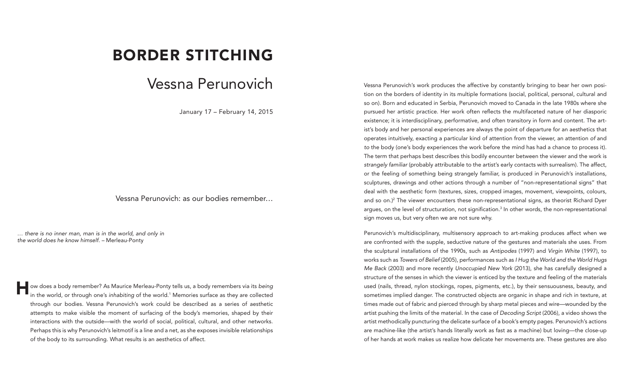## BORDER STITCHING

## Vessna Perunovich

January 17 – February 14, 2015

Vessna Perunovich: as our bodies remember…

*… there is no inner man, man is in the world, and only in the world does he know himself. –* Merleau-Ponty

ow does a body remember? As Maurice Merleau-Ponty tells us, a body remembers via its *being*<br>in the world, or through one's *inhabiting* of the world.<sup>1</sup> Memories surface as they are collected in the world, or through one's *inhabiting* of the world.1 Memories surface as they are collected through our bodies. Vessna Perunovich's work could be described as a series of aesthetic attempts to make visible the moment of surfacing of the body's memories, shaped by their interactions with the outside––with the world of social, political, cultural, and other networks. Perhaps this is why Perunovich's leitmotif is a line and a net, as she exposes invisible relationships of the body to its surrounding. What results is an aesthetics of affect.

Vessna Perunovich's work produces the affective by constantly bringing to bear her own position on the borders of identity in its multiple formations (social, political, personal, cultural and so on). Born and educated in Serbia, Perunovich moved to Canada in the late 1980s where she pursued her artistic practice. Her work often reflects the multifaceted nature of her diasporic existence; it is interdisciplinary, performative, and often transitory in form and content. The artist's body and her personal experiences are always the point of departure for an aesthetics that operates intuitively, exacting a particular kind of attention from the viewer, an attention *of* and *to* the body (one's body experiences the work before the mind has had a chance to process it). The term that perhaps best describes this bodily encounter between the viewer and the work is *strangely familiar* (probably attributable to the artist's early contacts with surrealism). The affect, or the feeling of something being strangely familiar, is produced in Perunovich's installations, sculptures, drawings and other actions through a number of "non-representational signs" that deal with the aesthetic form (textures, sizes, cropped images, movement, viewpoints, colours, and so on.)<sup>2</sup> The viewer encounters these non-representational signs, as theorist Richard Dyer argues, on the level of structuration, not signification.<sup>3</sup> In other words, the non-representational sign moves us, but very often we are not sure why.

Perunovich's multidisciplinary, multisensory approach to art-making produces affect when we are confronted with the supple, seductive nature of the gestures and materials she uses. From the sculptural installations of the 1990s, such as *Antipodes* (1997) and *Virgin White* (1997), to works such as *Towers of Belief* (2005), performances such as *I Hug the World and the World Hugs Me Back* (2003) and more recently *Unoccupied New York* (2013), she has carefully designed a structure of the senses in which the viewer is enticed by the texture and feeling of the materials used (nails, thread, nylon stockings, ropes, pigments, etc.), by their sensuousness, beauty, and sometimes implied danger. The constructed objects are organic in shape and rich in texture, at times made out of fabric and pierced through by sharp metal pieces and wire—wounded by the artist pushing the limits of the material. In the case of *Decoding Script* (2006), a video shows the artist methodically puncturing the delicate surface of a book's empty pages. Perunovich's actions are machine-like (the artist's hands literally work as fast as a machine) but loving—the close-up of her hands at work makes us realize how delicate her movements are. These gestures are also